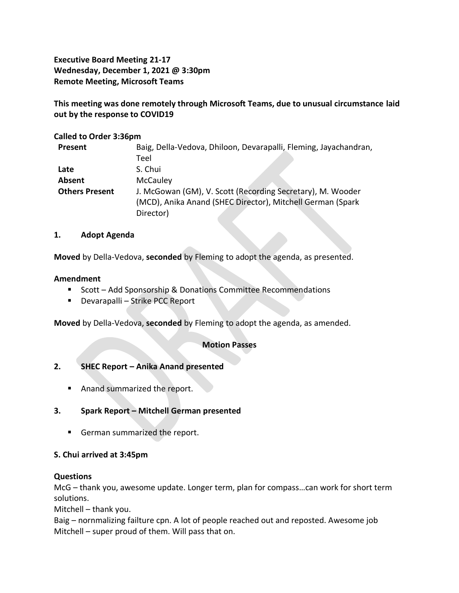**Executive Board Meeting 21-17 Wednesday, December 1, 2021 @ 3:30pm Remote Meeting, Microsoft Teams**

**This meeting was done remotely through Microsoft Teams, due to unusual circumstance laid out by the response to COVID19**

# **Called to Order 3:36pm**

| Present               | Baig, Della-Vedova, Dhiloon, Devarapalli, Fleming, Jayachandran, |
|-----------------------|------------------------------------------------------------------|
|                       | Teel                                                             |
| Late                  | S. Chui                                                          |
| Absent                | <b>McCauley</b>                                                  |
| <b>Others Present</b> | J. McGowan (GM), V. Scott (Recording Secretary), M. Wooder       |
|                       | (MCD), Anika Anand (SHEC Director), Mitchell German (Spark       |
|                       | Director)                                                        |

#### **1. Adopt Agenda**

**Moved** by Della-Vedova, **seconded** by Fleming to adopt the agenda, as presented.

#### **Amendment**

- Scott Add Sponsorship & Donations Committee Recommendations
- Devarapalli Strike PCC Report

**Moved** by Della-Vedova, **seconded** by Fleming to adopt the agenda, as amended.

# **Motion Passes**

# **2. SHEC Report – Anika Anand presented**

- Anand summarized the report.
- **3. Spark Report – Mitchell German presented**
	- German summarized the report.

# **S. Chui arrived at 3:45pm**

# **Questions**

McG – thank you, awesome update. Longer term, plan for compass…can work for short term solutions.

Mitchell – thank you.

Baig – nornmalizing failture cpn. A lot of people reached out and reposted. Awesome job Mitchell – super proud of them. Will pass that on.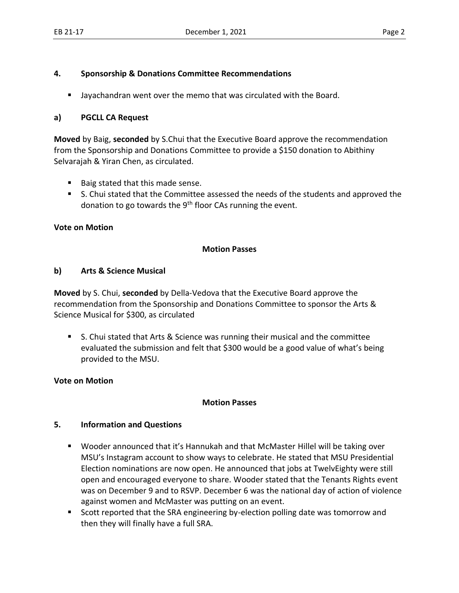# **4. Sponsorship & Donations Committee Recommendations**

■ Jayachandran went over the memo that was circulated with the Board.

# **a) PGCLL CA Request**

**Moved** by Baig, **seconded** by S.Chui that the Executive Board approve the recommendation from the Sponsorship and Donations Committee to provide a \$150 donation to Abithiny Selvarajah & Yiran Chen, as circulated.

- Baig stated that this made sense.
- S. Chui stated that the Committee assessed the needs of the students and approved the donation to go towards the  $9<sup>th</sup>$  floor CAs running the event.

# **Vote on Motion**

# **Motion Passes**

# **b) Arts & Science Musical**

**Moved** by S. Chui, **seconded** by Della-Vedova that the Executive Board approve the recommendation from the Sponsorship and Donations Committee to sponsor the Arts & Science Musical for \$300, as circulated

■ S. Chui stated that Arts & Science was running their musical and the committee evaluated the submission and felt that \$300 would be a good value of what's being provided to the MSU.

# **Vote on Motion**

#### **Motion Passes**

# **5. Information and Questions**

- Wooder announced that it's Hannukah and that McMaster Hillel will be taking over MSU's Instagram account to show ways to celebrate. He stated that MSU Presidential Election nominations are now open. He announced that jobs at TwelvEighty were still open and encouraged everyone to share. Wooder stated that the Tenants Rights event was on December 9 and to RSVP. December 6 was the national day of action of violence against women and McMaster was putting on an event.
- Scott reported that the SRA engineering by-election polling date was tomorrow and then they will finally have a full SRA.